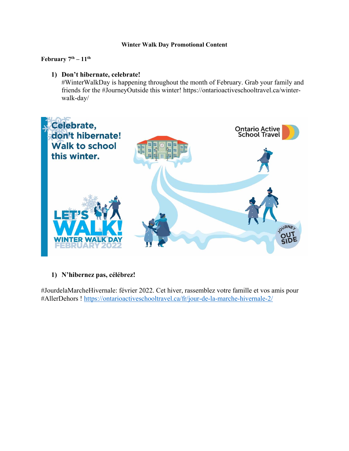#### **Winter Walk Day Promotional Content**

February 7<sup>th</sup> – 11<sup>th</sup>

### **1) Don't hibernate, celebrate!**

#WinterWalkDay is happening throughout the month of February. Grab your family and friends for the #JourneyOutside this winter! https://ontarioactiveschooltravel.ca/winterwalk-day/



## **1) N'hibernez pas, célébrez!**

#JourdelaMarcheHivernale: février 2022. Cet hiver, rassemblez votre famille et vos amis pour #AllerDehors ! https://ontarioactiveschooltravel.ca/fr/jour-de-la-marche-hivernale-2/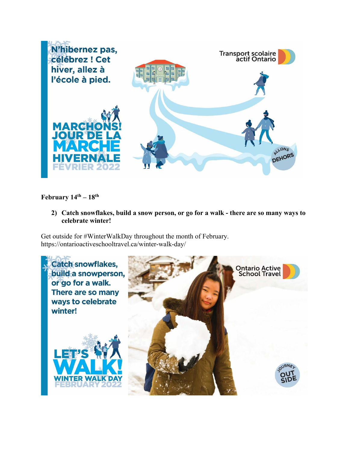

# **February 14th – 18th**

**2) Catch snowflakes, build a snow person, or go for a walk - there are so many ways to celebrate winter!** 

Get outside for #WinterWalkDay throughout the month of February. https://ontarioactiveschooltravel.ca/winter-walk-day/

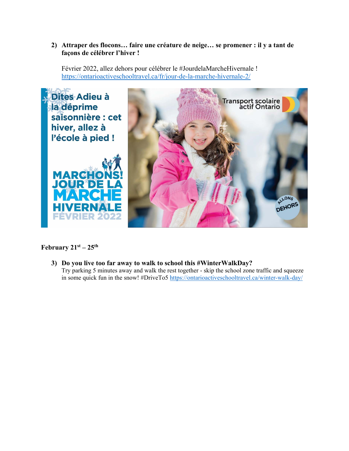### **2) Attraper des flocons… faire une créature de neige… se promener : il y a tant de façons de célébrer l'hiver !**

Février 2022, allez dehors pour célébrer le #JourdelaMarcheHivernale ! https://ontarioactiveschooltravel.ca/fr/jour-de-la-marche-hivernale-2/



# **February 21st – 25th**

**3) Do you live too far away to walk to school this #WinterWalkDay?**  Try parking 5 minutes away and walk the rest together - skip the school zone traffic and squeeze in some quick fun in the snow! #DriveTo5 https://ontarioactiveschooltravel.ca/winter-walk-day/